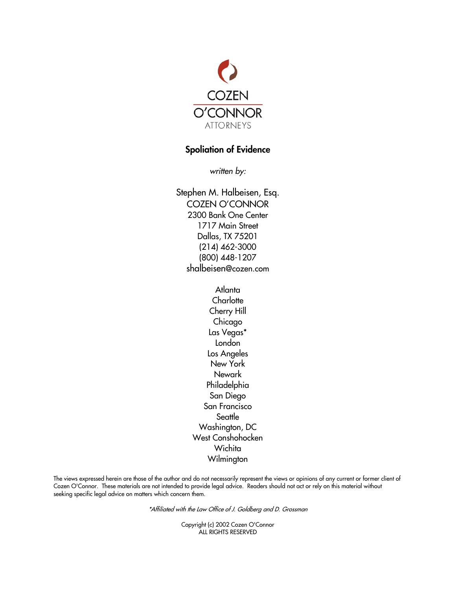

# Spoliation of Evidence

*written by:*

Stephen M. Halbeisen, Esq. COZEN O'CONNOR 2300 Bank One Center 1717 Main Street Dallas, TX 75201 (214) 462-3000 (800) 448-1207 shalbeisen@cozen.com

> Atlanta **Charlotte** Cherry Hill Chicago Las Vegas\* London Los Angeles New York Newark Philadelphia San Diego San Francisco **Seattle** Washington, DC West Conshohocken **Wichita** Wilmington

The views expressed herein are those of the author and do not necessarily represent the views or opinions of any current or former client of Cozen O'Connor. These materials are not intended to provide legal advice. Readers should not act or rely on this material without seeking specific legal advice on matters which concern them.

\*Affiliated with the Law Office of J. Goldberg and D. Grossman

Copyright (c) 2002 Cozen O'Connor ALL RIGHTS RESERVED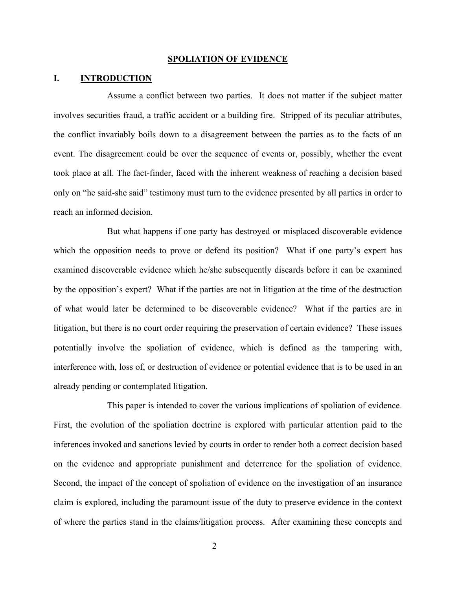#### **SPOLIATION OF EVIDENCE**

### **I. INTRODUCTION**

Assume a conflict between two parties. It does not matter if the subject matter involves securities fraud, a traffic accident or a building fire. Stripped of its peculiar attributes, the conflict invariably boils down to a disagreement between the parties as to the facts of an event. The disagreement could be over the sequence of events or, possibly, whether the event took place at all. The fact-finder, faced with the inherent weakness of reaching a decision based only on "he said-she said" testimony must turn to the evidence presented by all parties in order to reach an informed decision.

But what happens if one party has destroyed or misplaced discoverable evidence which the opposition needs to prove or defend its position? What if one party's expert has examined discoverable evidence which he/she subsequently discards before it can be examined by the opposition's expert? What if the parties are not in litigation at the time of the destruction of what would later be determined to be discoverable evidence? What if the parties are in litigation, but there is no court order requiring the preservation of certain evidence? These issues potentially involve the spoliation of evidence, which is defined as the tampering with, interference with, loss of, or destruction of evidence or potential evidence that is to be used in an already pending or contemplated litigation.

This paper is intended to cover the various implications of spoliation of evidence. First, the evolution of the spoliation doctrine is explored with particular attention paid to the inferences invoked and sanctions levied by courts in order to render both a correct decision based on the evidence and appropriate punishment and deterrence for the spoliation of evidence. Second, the impact of the concept of spoliation of evidence on the investigation of an insurance claim is explored, including the paramount issue of the duty to preserve evidence in the context of where the parties stand in the claims/litigation process. After examining these concepts and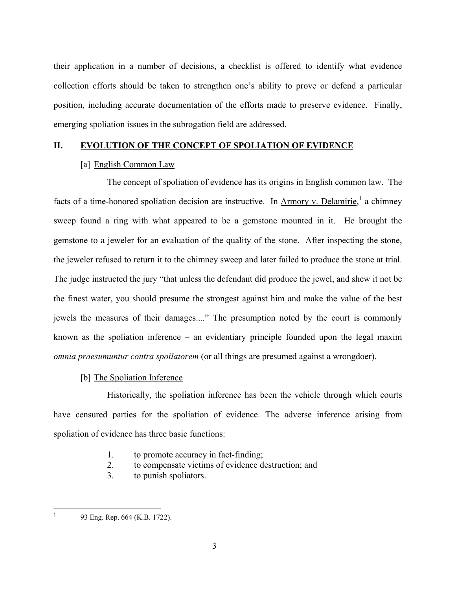their application in a number of decisions, a checklist is offered to identify what evidence collection efforts should be taken to strengthen one's ability to prove or defend a particular position, including accurate documentation of the efforts made to preserve evidence. Finally, emerging spoliation issues in the subrogation field are addressed.

## **II. EVOLUTION OF THE CONCEPT OF SPOLIATION OF EVIDENCE**

# [a] English Common Law

The concept of spoliation of evidence has its origins in English common law. The facts of a time-honored spoliation decision are instructive. In <u>Armory v. Delamirie</u>,<sup>1</sup> a chimney sweep found a ring with what appeared to be a gemstone mounted in it. He brought the gemstone to a jeweler for an evaluation of the quality of the stone. After inspecting the stone, the jeweler refused to return it to the chimney sweep and later failed to produce the stone at trial. The judge instructed the jury "that unless the defendant did produce the jewel, and shew it not be the finest water, you should presume the strongest against him and make the value of the best jewels the measures of their damages...." The presumption noted by the court is commonly known as the spoliation inference – an evidentiary principle founded upon the legal maxim *omnia praesumuntur contra spoilatorem* (or all things are presumed against a wrongdoer).

# [b] The Spoliation Inference

Historically, the spoliation inference has been the vehicle through which courts have censured parties for the spoliation of evidence. The adverse inference arising from spoliation of evidence has three basic functions:

- 1. to promote accuracy in fact-finding;
- 2. to compensate victims of evidence destruction; and
- 3. to punish spoliators.

 $\mathbf{1}$ 

<sup>93</sup> Eng. Rep. 664 (K.B. 1722).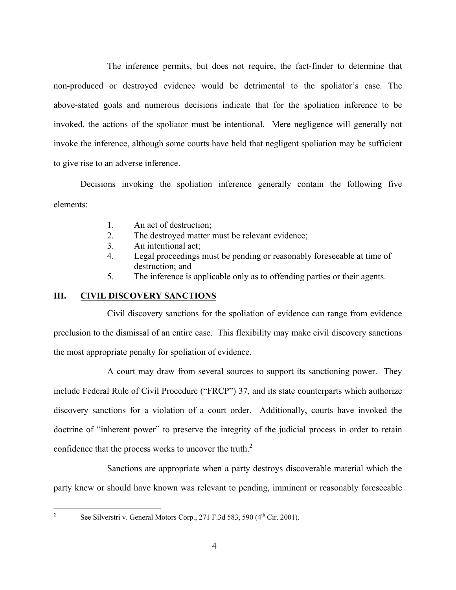The inference permits, but does not require, the fact-finder to determine that non-produced or destroyed evidence would be detrimental to the spoliator's case. The above-stated goals and numerous decisions indicate that for the spoliation inference to be invoked, the actions of the spoliator must be intentional. Mere negligence will generally not invoke the inference, although some courts have held that negligent spoliation may be sufficient to give rise to an adverse inference.

Decisions invoking the spoliation inference generally contain the following five elements:

- 1. An act of destruction;
- 2. The destroyed matter must be relevant evidence;
- 3. An intentional act;
- 4. Legal proceedings must be pending or reasonably foreseeable at time of destruction; and
- 5. The inference is applicable only as to offending parties or their agents.

# **III. CIVIL DISCOVERY SANCTIONS**

Civil discovery sanctions for the spoliation of evidence can range from evidence preclusion to the dismissal of an entire case. This flexibility may make civil discovery sanctions the most appropriate penalty for spoliation of evidence.

A court may draw from several sources to support its sanctioning power. They include Federal Rule of Civil Procedure ("FRCP") 37, and its state counterparts which authorize discovery sanctions for a violation of a court order. Additionally, courts have invoked the doctrine of "inherent power" to preserve the integrity of the judicial process in order to retain confidence that the process works to uncover the truth.<sup>2</sup>

Sanctions are appropriate when a party destroys discoverable material which the party knew or should have known was relevant to pending, imminent or reasonably foreseeable

 $\overline{2}$ 

See Silverstri v. General Motors Corp., 271 F.3d 583, 590  $(4<sup>th</sup> Cir. 2001)$ .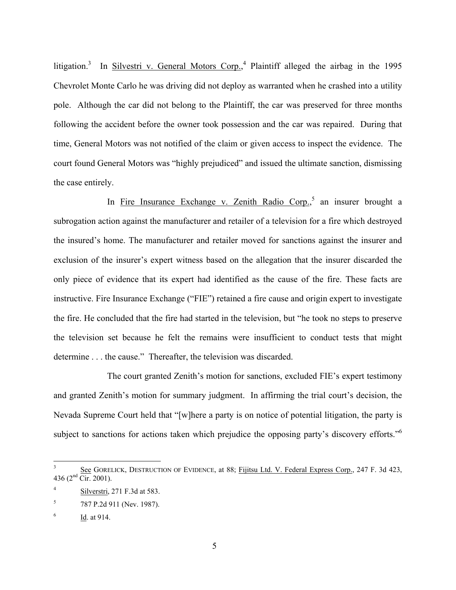litigation.<sup>3</sup> In Silvestri v. General Motors Corp.,<sup>4</sup> Plaintiff alleged the airbag in the 1995 Chevrolet Monte Carlo he was driving did not deploy as warranted when he crashed into a utility pole. Although the car did not belong to the Plaintiff, the car was preserved for three months following the accident before the owner took possession and the car was repaired. During that time, General Motors was not notified of the claim or given access to inspect the evidence. The court found General Motors was "highly prejudiced" and issued the ultimate sanction, dismissing the case entirely.

In Fire Insurance Exchange v. Zenith Radio Corp.,<sup>5</sup> an insurer brought a subrogation action against the manufacturer and retailer of a television for a fire which destroyed the insured's home. The manufacturer and retailer moved for sanctions against the insurer and exclusion of the insurer's expert witness based on the allegation that the insurer discarded the only piece of evidence that its expert had identified as the cause of the fire. These facts are instructive. Fire Insurance Exchange ("FIE") retained a fire cause and origin expert to investigate the fire. He concluded that the fire had started in the television, but "he took no steps to preserve the television set because he felt the remains were insufficient to conduct tests that might determine . . . the cause." Thereafter, the television was discarded.

The court granted Zenith's motion for sanctions, excluded FIE's expert testimony and granted Zenith's motion for summary judgment. In affirming the trial court's decision, the Nevada Supreme Court held that "[w]here a party is on notice of potential litigation, the party is subject to sanctions for actions taken which prejudice the opposing party's discovery efforts."<sup>6</sup>

 $\overline{a}$ 

 $3$  See GORELICK, DESTRUCTION OF EVIDENCE, at 88; Fijitsu Ltd. V. Federal Express Corp., 247 F. 3d 423, 436 ( $2<sup>nd</sup>$  Cir. 2001).

<sup>4</sup> Silverstri, 271 F.3d at 583.

<sup>5</sup> 787 P.2d 911 (Nev. 1987).

Id. at 914.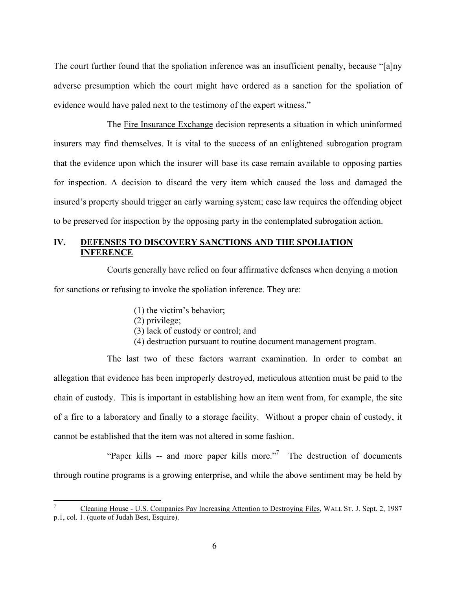The court further found that the spoliation inference was an insufficient penalty, because "[a]ny adverse presumption which the court might have ordered as a sanction for the spoliation of evidence would have paled next to the testimony of the expert witness."

The Fire Insurance Exchange decision represents a situation in which uninformed insurers may find themselves. It is vital to the success of an enlightened subrogation program that the evidence upon which the insurer will base its case remain available to opposing parties for inspection. A decision to discard the very item which caused the loss and damaged the insured's property should trigger an early warning system; case law requires the offending object to be preserved for inspection by the opposing party in the contemplated subrogation action.

# **IV. DEFENSES TO DISCOVERY SANCTIONS AND THE SPOLIATION INFERENCE**

Courts generally have relied on four affirmative defenses when denying a motion for sanctions or refusing to invoke the spoliation inference. They are:

- (1) the victim's behavior;
- (2) privilege;

1

- (3) lack of custody or control; and
- (4) destruction pursuant to routine document management program.

The last two of these factors warrant examination. In order to combat an allegation that evidence has been improperly destroyed, meticulous attention must be paid to the chain of custody. This is important in establishing how an item went from, for example, the site of a fire to a laboratory and finally to a storage facility. Without a proper chain of custody, it cannot be established that the item was not altered in some fashion.

"Paper kills -- and more paper kills more."<sup>7</sup> The destruction of documents through routine programs is a growing enterprise, and while the above sentiment may be held by

<sup>7</sup> Cleaning House - U.S. Companies Pay Increasing Attention to Destroying Files, WALL ST. J. Sept. 2, 1987 p.1, col. 1. (quote of Judah Best, Esquire).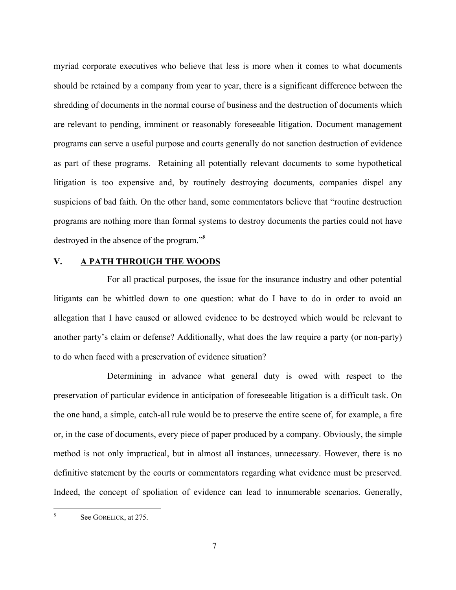myriad corporate executives who believe that less is more when it comes to what documents should be retained by a company from year to year, there is a significant difference between the shredding of documents in the normal course of business and the destruction of documents which are relevant to pending, imminent or reasonably foreseeable litigation. Document management programs can serve a useful purpose and courts generally do not sanction destruction of evidence as part of these programs. Retaining all potentially relevant documents to some hypothetical litigation is too expensive and, by routinely destroying documents, companies dispel any suspicions of bad faith. On the other hand, some commentators believe that "routine destruction programs are nothing more than formal systems to destroy documents the parties could not have destroyed in the absence of the program."<sup>8</sup>

# **V. A PATH THROUGH THE WOODS**

For all practical purposes, the issue for the insurance industry and other potential litigants can be whittled down to one question: what do I have to do in order to avoid an allegation that I have caused or allowed evidence to be destroyed which would be relevant to another party's claim or defense? Additionally, what does the law require a party (or non-party) to do when faced with a preservation of evidence situation?

Determining in advance what general duty is owed with respect to the preservation of particular evidence in anticipation of foreseeable litigation is a difficult task. On the one hand, a simple, catch-all rule would be to preserve the entire scene of, for example, a fire or, in the case of documents, every piece of paper produced by a company. Obviously, the simple method is not only impractical, but in almost all instances, unnecessary. However, there is no definitive statement by the courts or commentators regarding what evidence must be preserved. Indeed, the concept of spoliation of evidence can lead to innumerable scenarios. Generally,

 $\overline{a}$ 

See GORELICK, at 275.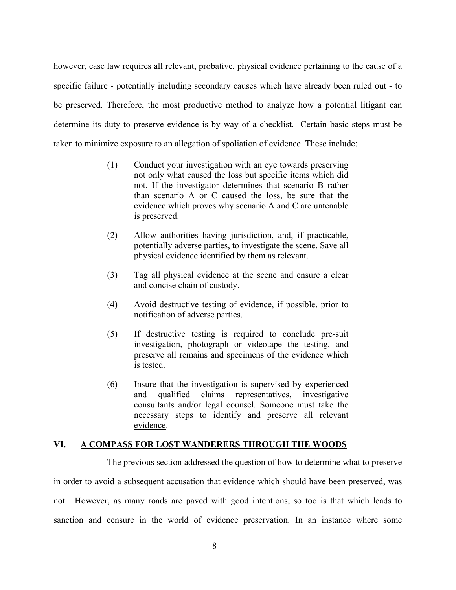however, case law requires all relevant, probative, physical evidence pertaining to the cause of a specific failure - potentially including secondary causes which have already been ruled out - to be preserved. Therefore, the most productive method to analyze how a potential litigant can determine its duty to preserve evidence is by way of a checklist. Certain basic steps must be taken to minimize exposure to an allegation of spoliation of evidence. These include:

- (1) Conduct your investigation with an eye towards preserving not only what caused the loss but specific items which did not. If the investigator determines that scenario B rather than scenario A or C caused the loss, be sure that the evidence which proves why scenario A and C are untenable is preserved.
- (2) Allow authorities having jurisdiction, and, if practicable, potentially adverse parties, to investigate the scene. Save all physical evidence identified by them as relevant.
- (3) Tag all physical evidence at the scene and ensure a clear and concise chain of custody.
- (4) Avoid destructive testing of evidence, if possible, prior to notification of adverse parties.
- (5) If destructive testing is required to conclude pre-suit investigation, photograph or videotape the testing, and preserve all remains and specimens of the evidence which is tested.
- (6) Insure that the investigation is supervised by experienced and qualified claims representatives, investigative consultants and/or legal counsel. Someone must take the necessary steps to identify and preserve all relevant evidence.

# **VI. A COMPASS FOR LOST WANDERERS THROUGH THE WOODS**

The previous section addressed the question of how to determine what to preserve

in order to avoid a subsequent accusation that evidence which should have been preserved, was not. However, as many roads are paved with good intentions, so too is that which leads to sanction and censure in the world of evidence preservation. In an instance where some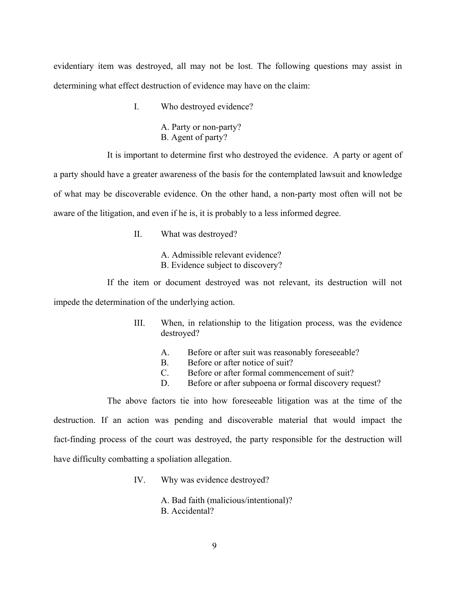evidentiary item was destroyed, all may not be lost. The following questions may assist in determining what effect destruction of evidence may have on the claim:

I. Who destroyed evidence?

A. Party or non-party? B. Agent of party?

It is important to determine first who destroyed the evidence. A party or agent of a party should have a greater awareness of the basis for the contemplated lawsuit and knowledge of what may be discoverable evidence. On the other hand, a non-party most often will not be aware of the litigation, and even if he is, it is probably to a less informed degree.

II. What was destroyed?

A. Admissible relevant evidence? B. Evidence subject to discovery?

If the item or document destroyed was not relevant, its destruction will not impede the determination of the underlying action.

- III. When, in relationship to the litigation process, was the evidence destroyed?
	- A. Before or after suit was reasonably foreseeable?
	- B. Before or after notice of suit?
	- C. Before or after formal commencement of suit?
	- D. Before or after subpoena or formal discovery request?

The above factors tie into how foreseeable litigation was at the time of the destruction. If an action was pending and discoverable material that would impact the fact-finding process of the court was destroyed, the party responsible for the destruction will have difficulty combatting a spoliation allegation.

IV. Why was evidence destroyed?

A. Bad faith (malicious/intentional)? B. Accidental?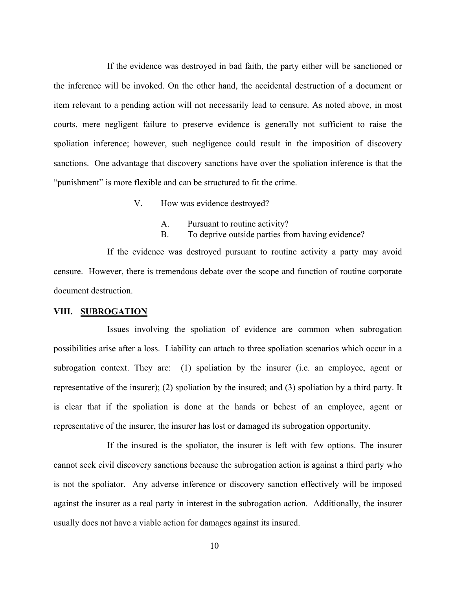If the evidence was destroyed in bad faith, the party either will be sanctioned or the inference will be invoked. On the other hand, the accidental destruction of a document or item relevant to a pending action will not necessarily lead to censure. As noted above, in most courts, mere negligent failure to preserve evidence is generally not sufficient to raise the spoliation inference; however, such negligence could result in the imposition of discovery sanctions. One advantage that discovery sanctions have over the spoliation inference is that the "punishment" is more flexible and can be structured to fit the crime.

- V. How was evidence destroyed?
	- A. Pursuant to routine activity?
	- B. To deprive outside parties from having evidence?

If the evidence was destroyed pursuant to routine activity a party may avoid censure. However, there is tremendous debate over the scope and function of routine corporate document destruction.

## **VIII. SUBROGATION**

Issues involving the spoliation of evidence are common when subrogation possibilities arise after a loss. Liability can attach to three spoliation scenarios which occur in a subrogation context. They are: (1) spoliation by the insurer (i.e. an employee, agent or representative of the insurer); (2) spoliation by the insured; and (3) spoliation by a third party. It is clear that if the spoliation is done at the hands or behest of an employee, agent or representative of the insurer, the insurer has lost or damaged its subrogation opportunity.

If the insured is the spoliator, the insurer is left with few options. The insurer cannot seek civil discovery sanctions because the subrogation action is against a third party who is not the spoliator. Any adverse inference or discovery sanction effectively will be imposed against the insurer as a real party in interest in the subrogation action. Additionally, the insurer usually does not have a viable action for damages against its insured.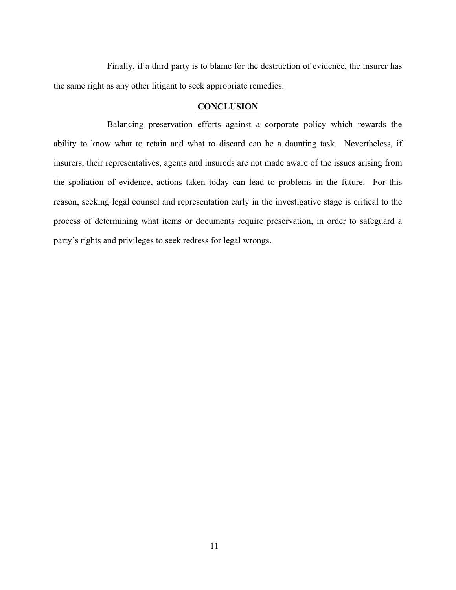Finally, if a third party is to blame for the destruction of evidence, the insurer has the same right as any other litigant to seek appropriate remedies.

## **CONCLUSION**

Balancing preservation efforts against a corporate policy which rewards the ability to know what to retain and what to discard can be a daunting task. Nevertheless, if insurers, their representatives, agents and insureds are not made aware of the issues arising from the spoliation of evidence, actions taken today can lead to problems in the future. For this reason, seeking legal counsel and representation early in the investigative stage is critical to the process of determining what items or documents require preservation, in order to safeguard a party's rights and privileges to seek redress for legal wrongs.